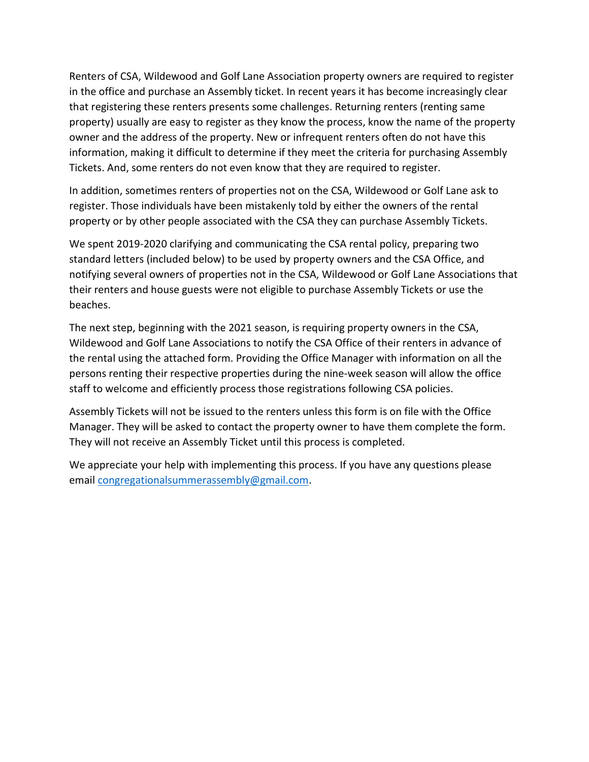Renters of CSA, Wildewood and Golf Lane Association property owners are required to register in the office and purchase an Assembly ticket. In recent years it has become increasingly clear that registering these renters presents some challenges. Returning renters (renting same property) usually are easy to register as they know the process, know the name of the property owner and the address of the property. New or infrequent renters often do not have this information, making it difficult to determine if they meet the criteria for purchasing Assembly Tickets. And, some renters do not even know that they are required to register.

In addition, sometimes renters of properties not on the CSA, Wildewood or Golf Lane ask to register. Those individuals have been mistakenly told by either the owners of the rental property or by other people associated with the CSA they can purchase Assembly Tickets.

We spent 2019-2020 clarifying and communicating the CSA rental policy, preparing two standard letters (included below) to be used by property owners and the CSA Office, and notifying several owners of properties not in the CSA, Wildewood or Golf Lane Associations that their renters and house guests were not eligible to purchase Assembly Tickets or use the beaches.

The next step, beginning with the 2021 season, is requiring property owners in the CSA, Wildewood and Golf Lane Associations to notify the CSA Office of their renters in advance of the rental using the attached form. Providing the Office Manager with information on all the persons renting their respective properties during the nine-week season will allow the office staff to welcome and efficiently process those registrations following CSA policies.

Assembly Tickets will not be issued to the renters unless this form is on file with the Office Manager. They will be asked to contact the property owner to have them complete the form. They will not receive an Assembly Ticket until this process is completed.

We appreciate your help with implementing this process. If you have any questions please email congregationalsummerassembly@gmail.com.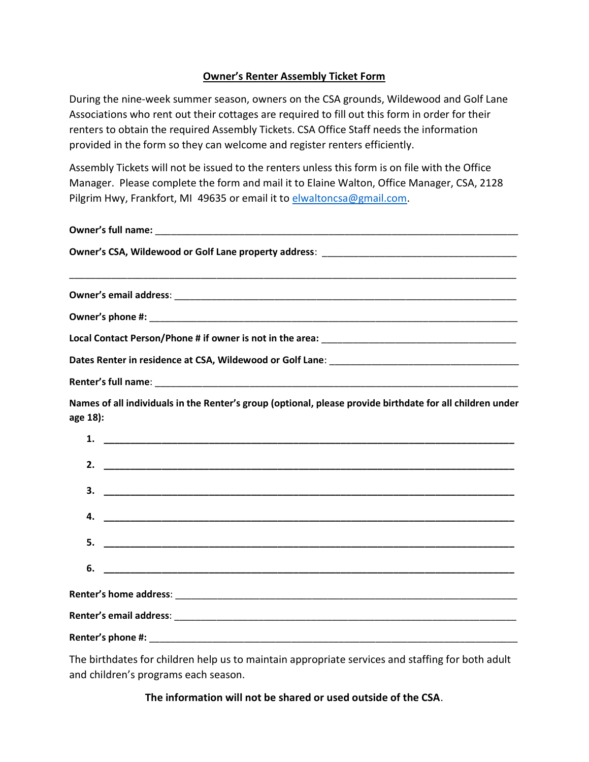## Owner's Renter Assembly Ticket Form

During the nine-week summer season, owners on the CSA grounds, Wildewood and Golf Lane Associations who rent out their cottages are required to fill out this form in order for their renters to obtain the required Assembly Tickets. CSA Office Staff needs the information provided in the form so they can welcome and register renters efficiently.

Assembly Tickets will not be issued to the renters unless this form is on file with the Office Manager. Please complete the form and mail it to Elaine Walton, Office Manager, CSA, 2128 Pilgrim Hwy, Frankfort, MI 49635 or email it to elwaltoncsa@gmail.com.

| Names of all individuals in the Renter's group (optional, please provide birthdate for all children under<br>age 18): |
|-----------------------------------------------------------------------------------------------------------------------|
| 1.                                                                                                                    |
| 2.                                                                                                                    |
| 3.                                                                                                                    |
| 4.                                                                                                                    |
| 5.                                                                                                                    |
| 6.                                                                                                                    |
|                                                                                                                       |
|                                                                                                                       |
|                                                                                                                       |

The birthdates for children help us to maintain appropriate services and staffing for both adult and children's programs each season.

The information will not be shared or used outside of the CSA.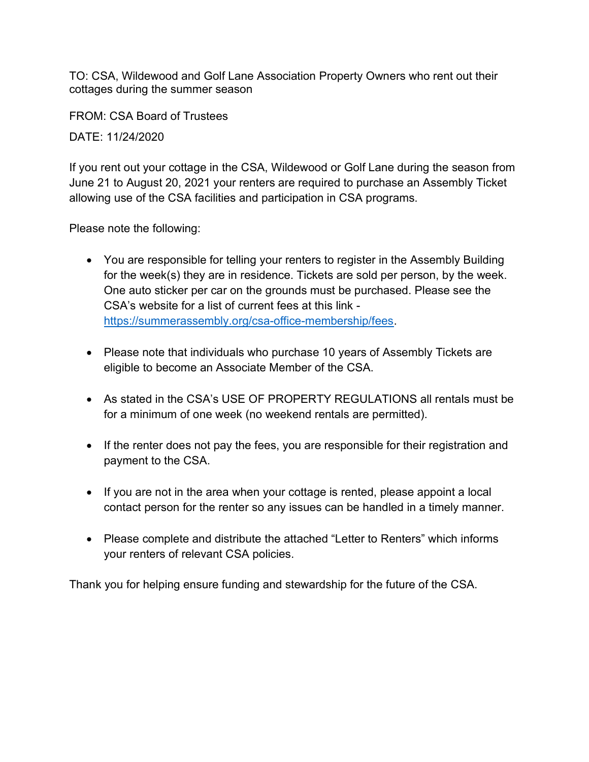TO: CSA, Wildewood and Golf Lane Association Property Owners who rent out their cottages during the summer season

FROM: CSA Board of Trustees

DATE: 11/24/2020

If you rent out your cottage in the CSA, Wildewood or Golf Lane during the season from June 21 to August 20, 2021 your renters are required to purchase an Assembly Ticket allowing use of the CSA facilities and participation in CSA programs.

Please note the following:

- You are responsible for telling your renters to register in the Assembly Building for the week(s) they are in residence. Tickets are sold per person, by the week. One auto sticker per car on the grounds must be purchased. Please see the CSA's website for a list of current fees at this link https://summerassembly.org/csa-office-membership/fees.
- Please note that individuals who purchase 10 years of Assembly Tickets are eligible to become an Associate Member of the CSA.
- As stated in the CSA's USE OF PROPERTY REGULATIONS all rentals must be for a minimum of one week (no weekend rentals are permitted).
- If the renter does not pay the fees, you are responsible for their registration and payment to the CSA.
- If you are not in the area when your cottage is rented, please appoint a local contact person for the renter so any issues can be handled in a timely manner.
- Please complete and distribute the attached "Letter to Renters" which informs your renters of relevant CSA policies.

Thank you for helping ensure funding and stewardship for the future of the CSA.